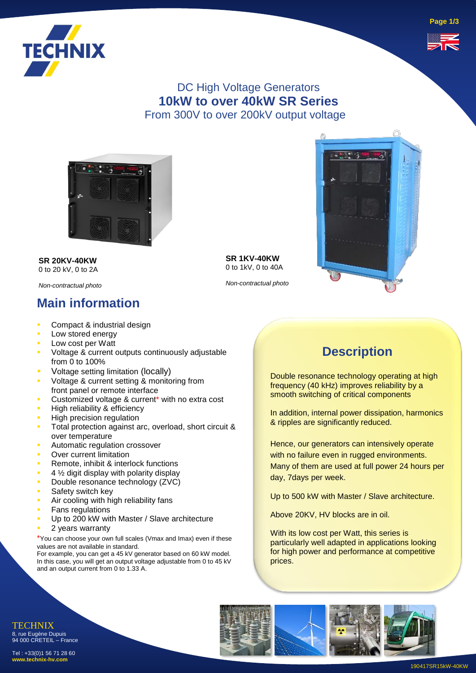

### DC High Voltage Generators **10kW to over 40kW SR Series** From 300V to over 200kV output voltage



**SR 20KV-40KW** 0 to 20 kV, 0 to 2A

*Non-contractual photo*

### **Main information**

- Compact & industrial design
- Low stored energy
- Low cost per Watt
- Voltage & current outputs continuously adjustable from  $\overline{0}$  to 100%
- **•** Voltage setting limitation (locally)
- Voltage & current setting & monitoring from front panel or remote interface
- Customized voltage & current\* with no extra cost
- High reliability & efficiency
- **High precision regulation**
- Total protection against arc, overload, short circuit & over temperature
- Automatic regulation crossover
- **Over current limitation**
- Remote, inhibit & interlock functions
- $4\frac{1}{2}$  digit display with polarity display
- Double resonance technology (ZVC)
- Safety switch key
- Air cooling with high reliability fans
- **Fans regulations**
- Up to 200 kW with Master / Slave architecture
- 2 years warranty

\*You can choose your own full scales (Vmax and Imax) even if these values are not available in standard.

For example, you can get a 45 kV generator based on 60 kW model. In this case, you will get an output voltage adjustable from 0 to 45 kV and an output current from 0 to 1.33 A.

**SR 1KV-40KW** 0 to 1kV, 0 to 40A

*Non-contractual photo*



### **Description**

Double resonance technology operating at high frequency (40 kHz) improves reliability by a smooth switching of critical components

In addition, internal power dissipation, harmonics & ripples are significantly reduced.

Hence, our generators can intensively operate with no failure even in rugged environments. Many of them are used at full power 24 hours per day, 7days per week.

Up to 500 kW with Master / Slave architecture.

Above 20KV, HV blocks are in oil.

With its low cost per Watt, this series is particularly well adapted in applications looking for high power and performance at competitive prices.



**Page 1/3**



94 000 CRETEIL – France Tel : +33(0)1 56 71 28 60 **www.technix-hv.com**

TECHNIX 8, rue Eugène Dupuis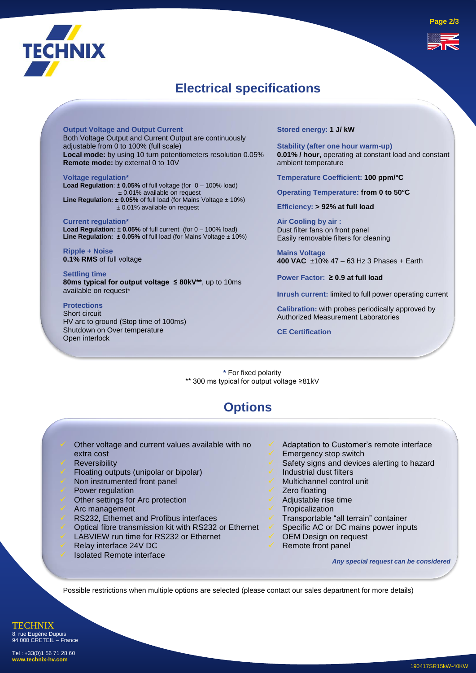

## **Electrical specifications**

**Output Voltage and Output Current** Both Voltage Output and Current Output are continuously adjustable from 0 to 100% (full scale) **Local mode:** by using 10 turn potentiometers resolution 0.05% **Remote mode:** by external 0 to 10V

**Voltage regulation\* Load Regulation**: **± 0.05%** of full voltage (for 0 – 100% load) ± 0.01% available on request **Line Regulation: ± 0.05%** of full load (for Mains Voltage ± 10%) ± 0.01% available on request

**Current regulation\* Load Regulation: ± 0.05%** of full current (for 0 – 100% load) **Line Regulation: ± 0.05%** of full load (for Mains Voltage ± 10%)

**Ripple + Noise 0.1% RMS** of full voltage

**Settling time 80ms typical for output voltage ≤ 80kV\*\***, up to 10ms available on request\*

### **Protections**

Short circuit HV arc to ground (Stop time of 100ms) Shutdown on Over temperature Open interlock

**Stored energy: 1 J/ kW**

**Stability (after one hour warm-up) 0.01% / hour,** operating at constant load and constant ambient temperature

**Temperature Coefficient: 100 ppm/°C**

**Operating Temperature: from 0 to 50°C**

**Efficiency: > 92% at full load** 

**Air Cooling by air :** Dust filter fans on front panel Easily removable filters for cleaning

**Mains Voltage 400 VAC** ±10% 47 – 63 Hz 3 Phases + Earth

**Power Factor: ≥ 0.9 at full load**

**Inrush current:** limited to full power operating current

**Calibration:** with probes periodically approved by Authorized Measurement Laboratories

**CE Certification**

**\*** For fixed polarity \*\* 300 ms typical for output voltage ≥81kV

### **Options**

- Other voltage and current values available with no extra cost
- **Reversibility**
- Floating outputs (unipolar or bipolar)
- Non instrumented front panel
- Power regulation
- Other settings for Arc protection
- ✓ Arc management
- RS232, Ethernet and Profibus interfaces
- ✓ Optical fibre transmission kit with RS232 or Ethernet
- LABVIEW run time for RS232 or Ethernet
- Relay interface 24V DC
- Isolated Remote interface
- Adaptation to Customer's remote interface
- Emergency stop switch
- Safety signs and devices alerting to hazard
- Industrial dust filters
- ✓ Multichannel control unit
- Zero floating
- ✓ Adjustable rise time
- **Tropicalization**
- ✓ Transportable "all terrain" container
- Specific AC or DC mains power inputs
- OEM Design on request
- Remote front panel

*Any special request can be considered* 

Possible restrictions when multiple options are selected (please contact our sales department for more details)

**TECHNIX** 8, rue Eugène Dupuis 94 000 CRETEIL – France